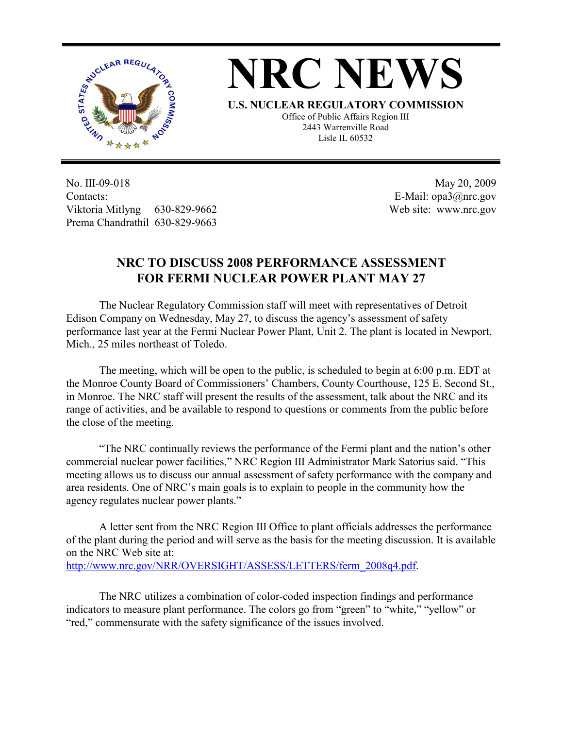



**U.S. NUCLEAR REGULATORY COMMISSION** Office of Public Affairs Region III 2443 Warrenville Road Lisle IL 60532

No. III-09-018 Contacts: Viktoria Mitlyng 630-829-9662 Prema Chandrathil 630-829-9663

 May 20, 2009 E-Mail: opa3@nrc.gov Web site: www.nrc.gov

## **NRC TO DISCUSS 2008 PERFORMANCE ASSESSMENT FOR FERMI NUCLEAR POWER PLANT MAY 27**

 The Nuclear Regulatory Commission staff will meet with representatives of Detroit Edison Company on Wednesday, May 27, to discuss the agency's assessment of safety performance last year at the Fermi Nuclear Power Plant, Unit 2. The plant is located in Newport, Mich., 25 miles northeast of Toledo.

 The meeting, which will be open to the public, is scheduled to begin at 6:00 p.m. EDT at the Monroe County Board of Commissioners' Chambers, County Courthouse, 125 E. Second St., in Monroe. The NRC staff will present the results of the assessment, talk about the NRC and its range of activities, and be available to respond to questions or comments from the public before the close of the meeting.

 "The NRC continually reviews the performance of the Fermi plant and the nation's other commercial nuclear power facilities," NRC Region III Administrator Mark Satorius said. "This meeting allows us to discuss our annual assessment of safety performance with the company and area residents. One of NRC's main goals is to explain to people in the community how the agency regulates nuclear power plants."

 A letter sent from the NRC Region III Office to plant officials addresses the performance of the plant during the period and will serve as the basis for the meeting discussion. It is available on the NRC Web site at:

http://www.nrc.gov/NRR/OVERSIGHT/ASSESS/LETTERS/ferm\_2008q4.pdf.

The NRC utilizes a combination of color-coded inspection findings and performance indicators to measure plant performance. The colors go from "green" to "white," "yellow" or "red," commensurate with the safety significance of the issues involved.